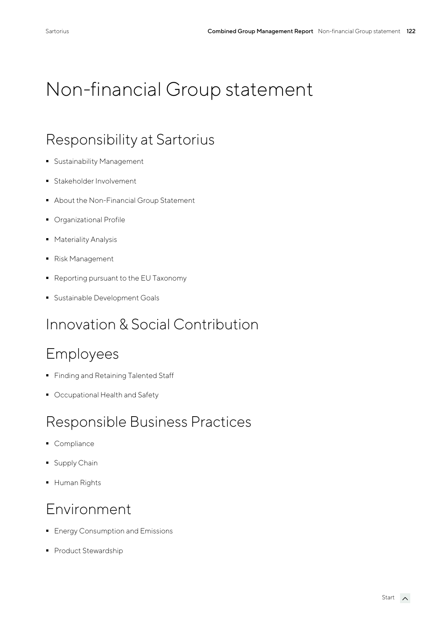# Non-financial Group statement

# Responsibility at Sartorius

- Sustainability Management
- **•** Stakeholder Involvement
- About the Non-Financial Group Statement
- **Organizational Profile**
- Materiality Analysis
- Risk Management
- Reporting pursuant to the EU Taxonomy
- **Sustainable Development Goals**

# Innovation & Social Contribution

## Employees

- **Finding and Retaining Talented Staff**
- Occupational Health and Safety

## Responsible Business Practices

- Compliance
- Supply Chain
- Human Rights

## Environment

- **Energy Consumption and Emissions**
- Product Stewardship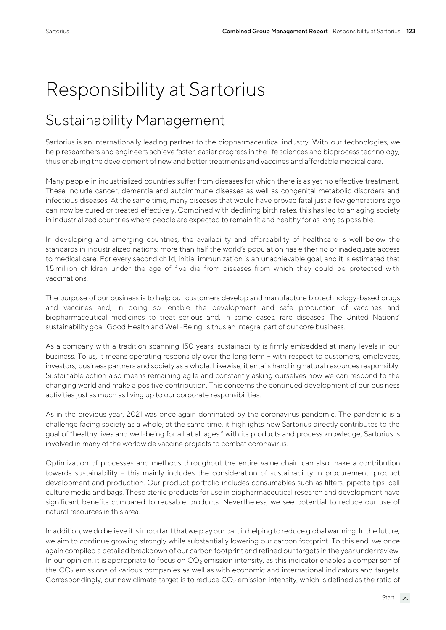# Responsibility at Sartorius

# Sustainability Management

Sartorius is an internationally leading partner to the biopharmaceutical industry. With our technologies, we help researchers and engineers achieve faster, easier progress in the life sciences and bioprocess technology, thus enabling the development of new and better treatments and vaccines and affordable medical care.

Many people in industrialized countries suffer from diseases for which there is as yet no effective treatment. These include cancer, dementia and autoimmune diseases as well as congenital metabolic disorders and infectious diseases. At the same time, many diseases that would have proved fatal just a few generations ago can now be cured or treated effectively. Combined with declining birth rates, this has led to an aging society in industrialized countries where people are expected to remain fit and healthy for as long as possible.

In developing and emerging countries, the availability and affordability of healthcare is well below the standards in industrialized nations: more than half the world's population has either no or inadequate access to medical care. For every second child, initial immunization is an unachievable goal, and it is estimated that 1.5 million children under the age of five die from diseases from which they could be protected with vaccinations.

The purpose of our business is to help our customers develop and manufacture biotechnology-based drugs and vaccines and, in doing so, enable the development and safe production of vaccines and biopharmaceutical medicines to treat serious and, in some cases, rare diseases. The United Nations' sustainability goal 'Good Health and Well-Being' is thus an integral part of our core business.

As a company with a tradition spanning 150 years, sustainability is firmly embedded at many levels in our business. To us, it means operating responsibly over the long term – with respect to customers, employees, investors, business partners and society as a whole. Likewise, it entails handling natural resources responsibly. Sustainable action also means remaining agile and constantly asking ourselves how we can respond to the changing world and make a positive contribution. This concerns the continued development of our business activities just as much as living up to our corporate responsibilities.

As in the previous year, 2021 was once again dominated by the coronavirus pandemic. The pandemic is a challenge facing society as a whole; at the same time, it highlights how Sartorius directly contributes to the goal of "healthy lives and well-being for all at all ages:" with its products and process knowledge, Sartorius is involved in many of the worldwide vaccine projects to combat coronavirus.

Optimization of processes and methods throughout the entire value chain can also make a contribution towards sustainability – this mainly includes the consideration of sustainability in procurement, product development and production. Our product portfolio includes consumables such as filters, pipette tips, cell culture media and bags. These sterile products for use in biopharmaceutical research and development have significant benefits compared to reusable products. Nevertheless, we see potential to reduce our use of natural resources in this area.

In addition, we do believe it is important that we play our part in helping to reduce global warming. In the future, we aim to continue growing strongly while substantially lowering our carbon footprint. To this end, we once again compiled a detailed breakdown of our carbon footprint and refined our targets in the year under review. In our opinion, it is appropriate to focus on  $CO<sub>2</sub>$  emission intensity, as this indicator enables a comparison of the  $CO<sub>2</sub>$  emissions of various companies as well as with economic and international indicators and targets. Correspondingly, our new climate target is to reduce  $CO<sub>2</sub>$  emission intensity, which is defined as the ratio of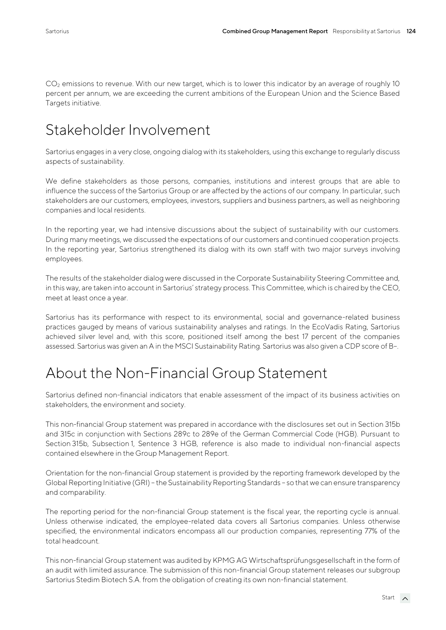CO<sub>2</sub> emissions to revenue. With our new target, which is to lower this indicator by an average of roughly 10 percent per annum, we are exceeding the current ambitions of the European Union and the Science Based Targets initiative.

# Stakeholder Involvement

Sartorius engages in a very close, ongoing dialog with its stakeholders, using this exchange to regularly discuss aspects of sustainability.

We define stakeholders as those persons, companies, institutions and interest groups that are able to influence the success of the Sartorius Group or are affected by the actions of our company. In particular, such stakeholders are our customers, employees, investors, suppliers and business partners, as well as neighboring companies and local residents.

In the reporting year, we had intensive discussions about the subject of sustainability with our customers. During many meetings, we discussed the expectations of our customers and continued cooperation projects. In the reporting year, Sartorius strengthened its dialog with its own staff with two major surveys involving employees.

The results of the stakeholder dialog were discussed in the Corporate Sustainability Steering Committee and, in this way, are taken into account in Sartorius' strategy process. This Committee, which is chaired by the CEO, meet at least once a year.

Sartorius has its performance with respect to its environmental, social and governance-related business practices gauged by means of various sustainability analyses and ratings. In the EcoVadis Rating, Sartorius achieved silver level and, with this score, positioned itself among the best 17 percent of the companies assessed. Sartorius was given an A in the MSCI Sustainability Rating. Sartorius was also given a CDP score of B–.

# About the Non-Financial Group Statement

Sartorius defined non-financial indicators that enable assessment of the impact of its business activities on stakeholders, the environment and society.

This non-financial Group statement was prepared in accordance with the disclosures set out in Section 315b and 315c in conjunction with Sections 289c to 289e of the German Commercial Code (HGB). Pursuant to Section 315b, Subsection 1, Sentence 3 HGB, reference is also made to individual non-financial aspects contained elsewhere in the Group Management Report.

Orientation for the non-financial Group statement is provided by the reporting framework developed by the Global Reporting Initiative (GRI) – the Sustainability Reporting Standards – so that we can ensure transparency and comparability.

The reporting period for the non-financial Group statement is the fiscal year, the reporting cycle is annual. Unless otherwise indicated, the employee-related data covers all Sartorius companies. Unless otherwise specified, the environmental indicators encompass all our production companies, representing 77% of the total headcount.

This non-financial Group statement was audited by KPMG AG Wirtschaftsprüfungsgesellschaft in the form of an audit with limited assurance. The submission of this non-financial Group statement releases our subgroup Sartorius Stedim Biotech S.A. from the obligation of creating its own non-financial statement.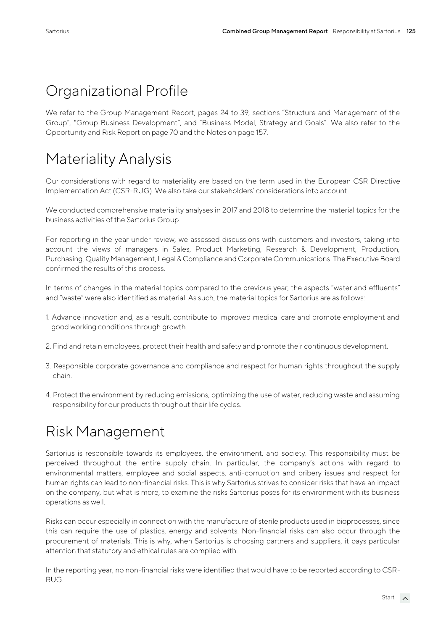# Organizational Profile

We refer to the Group Management Report, pages 24 to 39, sections "Structure and Management of the Group", "Group Business Development", and "Business Model, Strategy and Goals". We also refer to the Opportunity and Risk Report on page 70 and the Notes on page 157.

# Materiality Analysis

Our considerations with regard to materiality are based on the term used in the European CSR Directive Implementation Act (CSR-RUG). We also take our stakeholders' considerations into account.

We conducted comprehensive materiality analyses in 2017 and 2018 to determine the material topics for the business activities of the Sartorius Group.

For reporting in the year under review, we assessed discussions with customers and investors, taking into account the views of managers in Sales, Product Marketing, Research & Development, Production, Purchasing, Quality Management, Legal & Compliance and Corporate Communications. The Executive Board confirmed the results of this process.

In terms of changes in the material topics compared to the previous year, the aspects "water and effluents" and "waste" were also identified as material. As such, the material topics for Sartorius are as follows:

- 1. Advance innovation and, as a result, contribute to improved medical care and promote employment and good working conditions through growth.
- 2. Find and retain employees, protect their health and safety and promote their continuous development.
- 3. Responsible corporate governance and compliance and respect for human rights throughout the supply chain.
- 4. Protect the environment by reducing emissions, optimizing the use of water, reducing waste and assuming responsibility for our products throughout their life cycles.

# Risk Management

Sartorius is responsible towards its employees, the environment, and society. This responsibility must be perceived throughout the entire supply chain. In particular, the company's actions with regard to environmental matters, employee and social aspects, anti-corruption and bribery issues and respect for human rights can lead to non-financial risks. This is why Sartorius strives to consider risks that have an impact on the company, but what is more, to examine the risks Sartorius poses for its environment with its business operations as well.

Risks can occur especially in connection with the manufacture of sterile products used in bioprocesses, since this can require the use of plastics, energy and solvents. Non-financial risks can also occur through the procurement of materials. This is why, when Sartorius is choosing partners and suppliers, it pays particular attention that statutory and ethical rules are complied with.

In the reporting year, no non-financial risks were identified that would have to be reported according to CSR-RUG.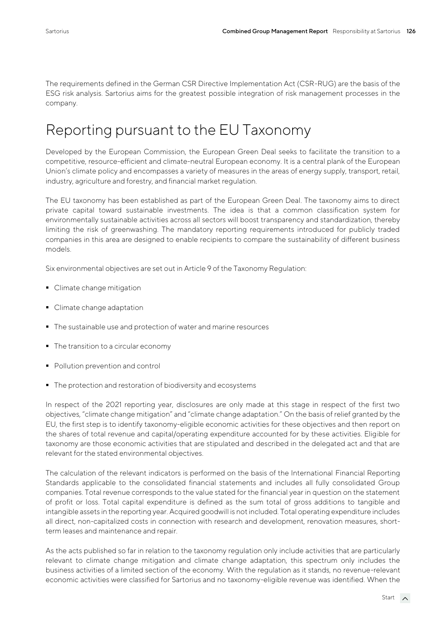The requirements defined in the German CSR Directive Implementation Act (CSR-RUG) are the basis of the ESG risk analysis. Sartorius aims for the greatest possible integration of risk management processes in the company.

# Reporting pursuant to the EU Taxonomy

Developed by the European Commission, the European Green Deal seeks to facilitate the transition to a competitive, resource-efficient and climate-neutral European economy. It is a central plank of the European Union's climate policy and encompasses a variety of measures in the areas of energy supply, transport, retail, industry, agriculture and forestry, and financial market regulation.

The EU taxonomy has been established as part of the European Green Deal. The taxonomy aims to direct private capital toward sustainable investments. The idea is that a common classification system for environmentally sustainable activities across all sectors will boost transparency and standardization, thereby limiting the risk of greenwashing. The mandatory reporting requirements introduced for publicly traded companies in this area are designed to enable recipients to compare the sustainability of different business models.

Six environmental objectives are set out in Article 9 of the Taxonomy Regulation:

- Climate change mitigation
- Climate change adaptation
- The sustainable use and protection of water and marine resources
- The transition to a circular economy
- Pollution prevention and control
- The protection and restoration of biodiversity and ecosystems

In respect of the 2021 reporting year, disclosures are only made at this stage in respect of the first two objectives, "climate change mitigation" and "climate change adaptation." On the basis of relief granted by the EU, the first step is to identify taxonomy-eligible economic activities for these objectives and then report on the shares of total revenue and capital/operating expenditure accounted for by these activities. Eligible for taxonomy are those economic activities that are stipulated and described in the delegated act and that are relevant for the stated environmental objectives.

The calculation of the relevant indicators is performed on the basis of the International Financial Reporting Standards applicable to the consolidated financial statements and includes all fully consolidated Group companies. Total revenue corresponds to the value stated for the financial year in question on the statement of profit or loss. Total capital expenditure is defined as the sum total of gross additions to tangible and intangible assets in the reporting year. Acquired goodwill is not included. Total operating expenditure includes all direct, non-capitalized costs in connection with research and development, renovation measures, shortterm leases and maintenance and repair.

As the acts published so far in relation to the taxonomy regulation only include activities that are particularly relevant to climate change mitigation and climate change adaptation, this spectrum only includes the business activities of a limited section of the economy. With the regulation as it stands, no revenue-relevant economic activities were classified for Sartorius and no taxonomy-eligible revenue was identified. When the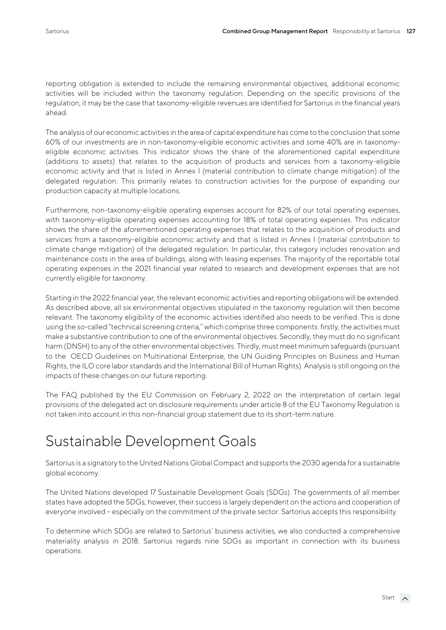reporting obligation is extended to include the remaining environmental objectives, additional economic activities will be included within the taxonomy regulation. Depending on the specific provisions of the regulation, it may be the case that taxonomy-eligible revenues are identified for Sartorius in the financial years ahead.

The analysis of our economic activities in the area of capital expenditure has come to the conclusion that some 60% of our investments are in non-taxonomy-eligible economic activities and some 40% are in taxonomyeligible economic activities. This indicator shows the share of the aforementioned capital expenditure (additions to assets) that relates to the acquisition of products and services from a taxonomy-eligible economic activity and that is listed in Annex I (material contribution to climate change mitigation) of the delegated regulation. This primarily relates to construction activities for the purpose of expanding our production capacity at multiple locations.

Furthermore, non-taxonomy-eligible operating expenses account for 82% of our total operating expenses, with taxonomy-eligible operating expenses accounting for 18% of total operating expenses. This indicator shows the share of the aforementioned operating expenses that relates to the acquisition of products and services from a taxonomy-eligible economic activity and that is listed in Annex I (material contribution to climate change mitigation) of the delegated regulation. In particular, this category includes renovation and maintenance costs in the area of buildings, along with leasing expenses. The majority of the reportable total operating expenses in the 2021 financial year related to research and development expenses that are not currently eligible for taxonomy.

Starting in the 2022 financial year, the relevant economic activities and reporting obligations will be extended. As described above, all six environmental objectives stipulated in the taxonomy regulation will then become relevant. The taxonomy eligibility of the economic activities identified also needs to be verified. This is done using the so-called "technical screening criteria," which comprise three components: firstly, the activities must make a substantive contribution to one of the environmental objectives. Secondly, they must do no significant harm (DNSH) to any of the other environmental objectives. Thirdly, must meet minimum safeguards (pursuant to the OECD Guidelines on Multinational Enterprise, the UN Guiding Principles on Business and Human Rights, the ILO core labor standards and the International Bill of Human Rights). Analysis is still ongoing on the impacts of these changes on our future reporting.

The FAQ published by the EU Commission on February 2, 2022 on the interpretation of certain legal provisions of the delegated act on disclosure requirements under article 8 of the EU Taxonomy Regulation is not taken into account in this non-financial group statement due to its short-term nature.

# Sustainable Development Goals

Sartorius is a signatory to the United Nations Global Compact and supports the 2030 agenda for a sustainable global economy.

The United Nations developed 17 Sustainable Development Goals (SDGs). The governments of all member states have adopted the SDGs; however, their success is largely dependent on the actions and cooperation of everyone involved – especially on the commitment of the private sector. Sartorius accepts this responsibility.

To determine which SDGs are related to Sartorius' business activities, we also conducted a comprehensive materiality analysis in 2018. Sartorius regards nine SDGs as important in connection with its business operations.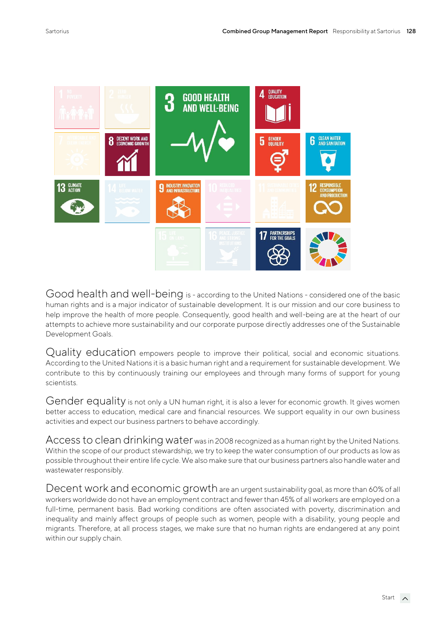

Good health and well-being is - according to the United Nations - considered one of the basic human rights and is a major indicator of sustainable development. It is our mission and our core business to help improve the health of more people. Consequently, good health and well-being are at the heart of our attempts to achieve more sustainability and our corporate purpose directly addresses one of the Sustainable Development Goals.

Quality education empowers people to improve their political, social and economic situations. According to the United Nations it is a basic human right and a requirement for sustainable development. We contribute to this by continuously training our employees and through many forms of support for young scientists.

Gender equality is not only a UN human right, it is also a lever for economic growth. It gives women better access to education, medical care and financial resources. We support equality in our own business activities and expect our business partners to behave accordingly.

Access to clean drinking water was in 2008 recognized as a human right by the United Nations. Within the scope of our product stewardship, we try to keep the water consumption of our products as low as possible throughout their entire life cycle. We also make sure that our business partners also handle water and wastewater responsibly.

Decent work and economic growth are an urgent sustainability goal, as more than 60% of all workers worldwide do not have an employment contract and fewer than 45% of all workers are employed on a full-time, permanent basis. Bad working conditions are often associated with poverty, discrimination and inequality and mainly affect groups of people such as women, people with a disability, young people and migrants. Therefore, at all process stages, we make sure that no human rights are endangered at any point within our supply chain.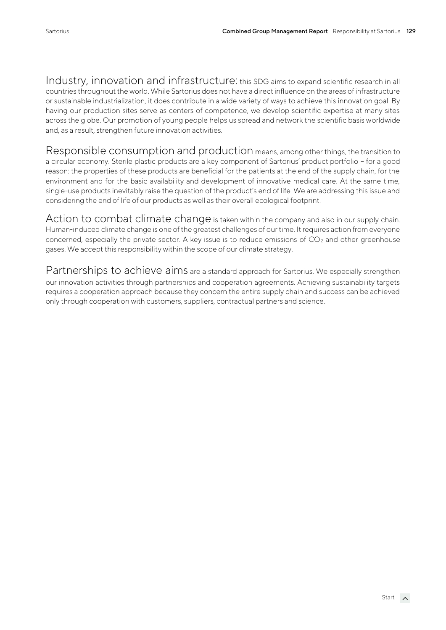Industry, innovation and infrastructure: this SDG aims to expand scientific research in all countries throughout the world. While Sartorius does not have a direct influence on the areas of infrastructure or sustainable industrialization, it does contribute in a wide variety of ways to achieve this innovation goal. By having our production sites serve as centers of competence, we develop scientific expertise at many sites across the globe. Our promotion of young people helps us spread and network the scientific basis worldwide and, as a result, strengthen future innovation activities.

Responsible consumption and production means, among other things, the transition to a circular economy. Sterile plastic products are a key component of Sartorius' product portfolio – for a good reason: the properties of these products are beneficial for the patients at the end of the supply chain, for the environment and for the basic availability and development of innovative medical care. At the same time, single-use products inevitably raise the question of the product's end of life. We are addressing this issue and considering the end of life of our products as well as their overall ecological footprint.

Action to combat climate change is taken within the company and also in our supply chain. Human-induced climate change is one of the greatest challenges of our time. It requires action from everyone concerned, especially the private sector. A key issue is to reduce emissions of  $CO<sub>2</sub>$  and other greenhouse gases. We accept this responsibility within the scope of our climate strategy.

Partnerships to achieve aims are a standard approach for Sartorius. We especially strengthen our innovation activities through partnerships and cooperation agreements. Achieving sustainability targets requires a cooperation approach because they concern the entire supply chain and success can be achieved only through cooperation with customers, suppliers, contractual partners and science.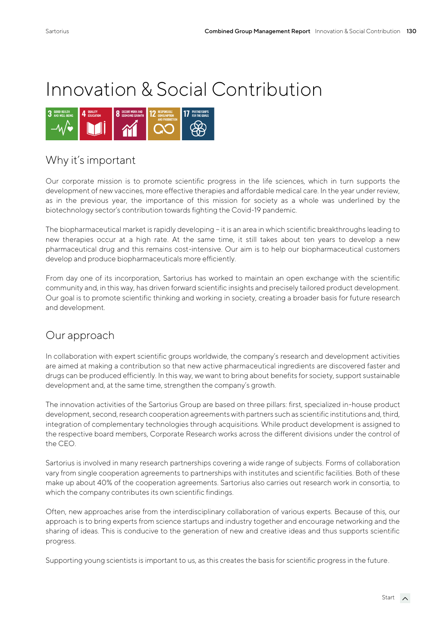# Innovation & Social Contribution



## Why it's important

Our corporate mission is to promote scientific progress in the life sciences, which in turn supports the development of new vaccines, more effective therapies and affordable medical care. In the year under review, as in the previous year, the importance of this mission for society as a whole was underlined by the biotechnology sector's contribution towards fighting the Covid-19 pandemic.

The biopharmaceutical market is rapidly developing – it is an area in which scientific breakthroughs leading to new therapies occur at a high rate. At the same time, it still takes about ten years to develop a new pharmaceutical drug and this remains cost-intensive. Our aim is to help our biopharmaceutical customers develop and produce biopharmaceuticals more efficiently.

From day one of its incorporation, Sartorius has worked to maintain an open exchange with the scientific community and, in this way, has driven forward scientific insights and precisely tailored product development. Our goal is to promote scientific thinking and working in society, creating a broader basis for future research and development.

## Our approach

In collaboration with expert scientific groups worldwide, the company's research and development activities are aimed at making a contribution so that new active pharmaceutical ingredients are discovered faster and drugs can be produced efficiently. In this way, we want to bring about benefits for society, support sustainable development and, at the same time, strengthen the company's growth.

The innovation activities of the Sartorius Group are based on three pillars: first, specialized in-house product development, second, research cooperation agreements with partners such as scientific institutions and, third, integration of complementary technologies through acquisitions. While product development is assigned to the respective board members, Corporate Research works across the different divisions under the control of the CEO.

Sartorius is involved in many research partnerships covering a wide range of subjects. Forms of collaboration vary from single cooperation agreements to partnerships with institutes and scientific facilities. Both of these make up about 40% of the cooperation agreements. Sartorius also carries out research work in consortia, to which the company contributes its own scientific findings.

Often, new approaches arise from the interdisciplinary collaboration of various experts. Because of this, our approach is to bring experts from science startups and industry together and encourage networking and the sharing of ideas. This is conducive to the generation of new and creative ideas and thus supports scientific progress.

Supporting young scientists is important to us, as this creates the basis for scientific progress in the future.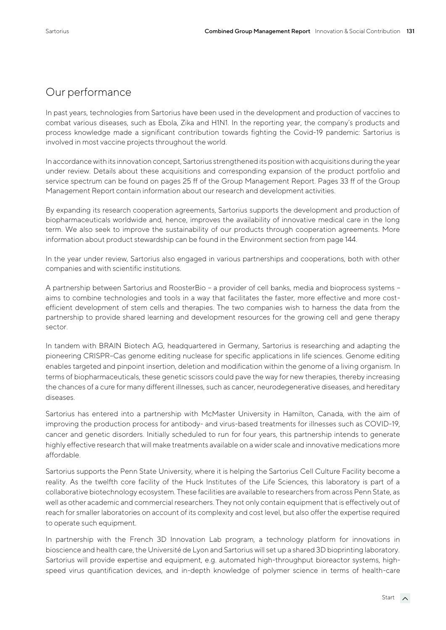#### Our performance

In past years, technologies from Sartorius have been used in the development and production of vaccines to combat various diseases, such as Ebola, Zika and H1N1. In the reporting year, the company's products and process knowledge made a significant contribution towards fighting the Covid-19 pandemic: Sartorius is involved in most vaccine projects throughout the world.

In accordance with its innovation concept, Sartorius strengthened its position with acquisitions during the year under review. Details about these acquisitions and corresponding expansion of the product portfolio and service spectrum can be found on pages 25 ff of the Group Management Report. Pages 33 ff of the Group Management Report contain information about our research and development activities.

By expanding its research cooperation agreements, Sartorius supports the development and production of biopharmaceuticals worldwide and, hence, improves the availability of innovative medical care in the long term. We also seek to improve the sustainability of our products through cooperation agreements. More information about product stewardship can be found in the Environment section from page 144.

In the year under review, Sartorius also engaged in various partnerships and cooperations, both with other companies and with scientific institutions.

A partnership between Sartorius and RoosterBio – a provider of cell banks, media and bioprocess systems – aims to combine technologies and tools in a way that facilitates the faster, more effective and more costefficient development of stem cells and therapies. The two companies wish to harness the data from the partnership to provide shared learning and development resources for the growing cell and gene therapy sector.

In tandem with BRAIN Biotech AG, headquartered in Germany, Sartorius is researching and adapting the pioneering CRISPR–Cas genome editing nuclease for specific applications in life sciences. Genome editing enables targeted and pinpoint insertion, deletion and modification within the genome of a living organism. In terms of biopharmaceuticals, these genetic scissors could pave the way for new therapies, thereby increasing the chances of a cure for many different illnesses, such as cancer, neurodegenerative diseases, and hereditary diseases.

Sartorius has entered into a partnership with McMaster University in Hamilton, Canada, with the aim of improving the production process for antibody- and virus-based treatments for illnesses such as COVID-19, cancer and genetic disorders. Initially scheduled to run for four years, this partnership intends to generate highly effective research that will make treatments available on a wider scale and innovative medications more affordable.

Sartorius supports the Penn State University, where it is helping the Sartorius Cell Culture Facility become a reality. As the twelfth core facility of the Huck Institutes of the Life Sciences, this laboratory is part of a collaborative biotechnology ecosystem. These facilities are available to researchers from across Penn State, as well as other academic and commercial researchers. They not only contain equipment that is effectively out of reach for smaller laboratories on account of its complexity and cost level, but also offer the expertise required to operate such equipment.

In partnership with the French 3D Innovation Lab program, a technology platform for innovations in bioscience and health care, the Université de Lyon and Sartorius will set up a shared 3D bioprinting laboratory. Sartorius will provide expertise and equipment, e.g. automated high-throughput bioreactor systems, highspeed virus quantification devices, and in-depth knowledge of polymer science in terms of health-care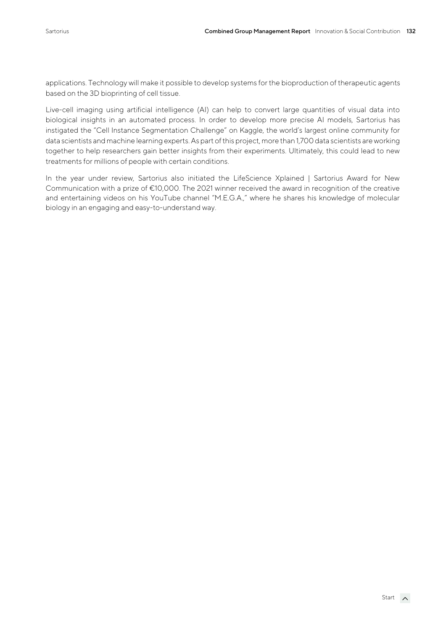applications. Technology will make it possible to develop systems for the bioproduction of therapeutic agents based on the 3D bioprinting of cell tissue.

Live-cell imaging using artificial intelligence (AI) can help to convert large quantities of visual data into biological insights in an automated process. In order to develop more precise AI models, Sartorius has instigated the "Cell Instance Segmentation Challenge" on Kaggle, the world's largest online community for data scientists and machine learning experts. As part of this project, more than 1,700 data scientists are working together to help researchers gain better insights from their experiments. Ultimately, this could lead to new treatments for millions of people with certain conditions.

In the year under review, Sartorius also initiated the LifeScience Xplained | Sartorius Award for New Communication with a prize of €10,000. The 2021 winner received the award in recognition of the creative and entertaining videos on his YouTube channel "M.E.G.A.," where he shares his knowledge of molecular biology in an engaging and easy-to-understand way.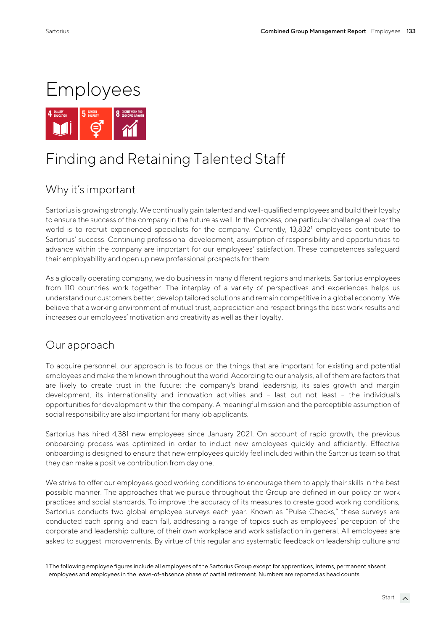

# Finding and Retaining Talented Staff

## Why it's important

Sartorius is growing strongly. We continually gain talented and well-qualified employees and build their loyalty to ensure the success of the company in the future as well. In the process, one particular challenge all over the world is to recruit experienced specialists for the company. Currently, 13,832<sup>1</sup> employees contribute to Sartorius' success. Continuing professional development, assumption of responsibility and opportunities to advance within the company are important for our employees' satisfaction. These competences safeguard their employability and open up new professional prospects for them.

As a globally operating company, we do business in many different regions and markets. Sartorius employees from 110 countries work together. The interplay of a variety of perspectives and experiences helps us understand our customers better, develop tailored solutions and remain competitive in a global economy. We believe that a working environment of mutual trust, appreciation and respect brings the best work results and increases our employees' motivation and creativity as well as their loyalty.

#### Our approach

To acquire personnel, our approach is to focus on the things that are important for existing and potential employees and make them known throughout the world. According to our analysis, all of them are factors that are likely to create trust in the future: the company's brand leadership, its sales growth and margin development, its internationality and innovation activities and – last but not least – the individual's opportunities for development within the company. A meaningful mission and the perceptible assumption of social responsibility are also important for many job applicants.

Sartorius has hired 4,381 new employees since January 2021. On account of rapid growth, the previous onboarding process was optimized in order to induct new employees quickly and efficiently. Effective onboarding is designed to ensure that new employees quickly feel included within the Sartorius team so that they can make a positive contribution from day one.

We strive to offer our employees good working conditions to encourage them to apply their skills in the best possible manner. The approaches that we pursue throughout the Group are defined in our policy on work practices and social standards. To improve the accuracy of its measures to create good working conditions, Sartorius conducts two global employee surveys each year. Known as "Pulse Checks," these surveys are conducted each spring and each fall, addressing a range of topics such as employees' perception of the corporate and leadership culture, of their own workplace and work satisfaction in general. All employees are asked to suggest improvements. By virtue of this regular and systematic feedback on leadership culture and

1 The following employee figures include all employees of the Sartorius Group except for apprentices, interns, permanent absent employees and employees in the leave-of-absence phase of partial retirement. Numbers are reported as head counts.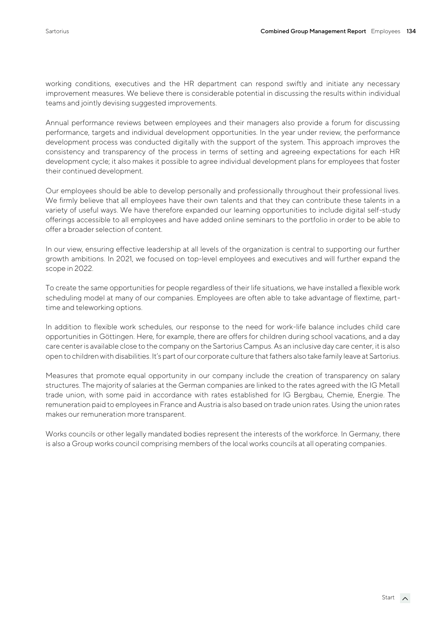working conditions, executives and the HR department can respond swiftly and initiate any necessary improvement measures. We believe there is considerable potential in discussing the results within individual teams and jointly devising suggested improvements.

Annual performance reviews between employees and their managers also provide a forum for discussing performance, targets and individual development opportunities. In the year under review, the performance development process was conducted digitally with the support of the system. This approach improves the consistency and transparency of the process in terms of setting and agreeing expectations for each HR development cycle; it also makes it possible to agree individual development plans for employees that foster their continued development.

Our employees should be able to develop personally and professionally throughout their professional lives. We firmly believe that all employees have their own talents and that they can contribute these talents in a variety of useful ways. We have therefore expanded our learning opportunities to include digital self-study offerings accessible to all employees and have added online seminars to the portfolio in order to be able to offer a broader selection of content.

In our view, ensuring effective leadership at all levels of the organization is central to supporting our further growth ambitions. In 2021, we focused on top-level employees and executives and will further expand the scope in 2022.

To create the same opportunities for people regardless of their life situations, we have installed a flexible work scheduling model at many of our companies. Employees are often able to take advantage of flextime, parttime and teleworking options.

In addition to flexible work schedules, our response to the need for work-life balance includes child care opportunities in Göttingen. Here, for example, there are offers for children during school vacations, and a day care center is available close to the company on the Sartorius Campus. As an inclusive day care center, it is also open to children with disabilities. It's part of our corporate culture that fathers also take family leave at Sartorius.

Measures that promote equal opportunity in our company include the creation of transparency on salary structures. The majority of salaries at the German companies are linked to the rates agreed with the IG Metall trade union, with some paid in accordance with rates established for IG Bergbau, Chemie, Energie. The remuneration paid to employees in France and Austria is also based on trade union rates. Using the union rates makes our remuneration more transparent.

Works councils or other legally mandated bodies represent the interests of the workforce. In Germany, there is also a Group works council comprising members of the local works councils at all operating companies.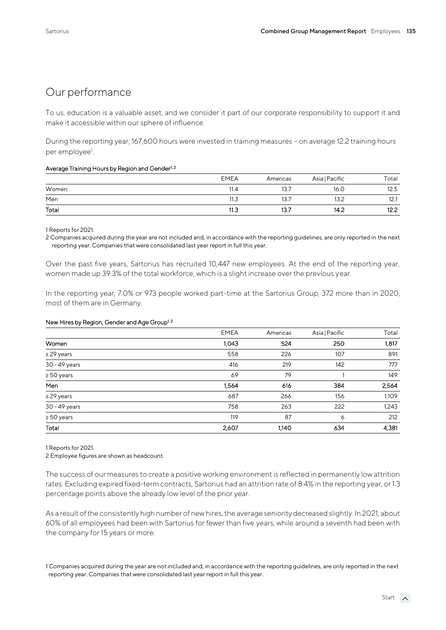#### Our performance

To us, education is a valuable asset, and we consider it part of our corporate responsibility to support it and make it accessible within our sphere of influence.

During the reporting year, 167,600 hours were invested in training measures – on average 12.2 training hours per employee<sup>1</sup>. .

#### Average Training Hours by Region and Gender<sup>1, 2</sup>

|       | <b>EMEA</b> | Americas | Asia   Pacific | Total |
|-------|-------------|----------|----------------|-------|
| Women | 11.4        | 13.7     | 16.0           | 12.5  |
| Men   | 11.3        | 13.7     | 13.2           | 12.1  |
| Total | 11.3        | 13.7     | 14.2           | 12.2  |

1 Reports for 2021.

2 Companies acquired during the year are not included and, in accordance with the reporting guidelines, are only reported in the next reporting year. Companies that were consolidated last year report in full this year.

Over the past five years, Sartorius has recruited 10,447 new employees. At the end of the reporting year, women made up 39.3% of the total workforce, which is a slight increase over the previous year.

In the reporting year, 7.0% or 973 people worked part-time at the Sartorius Group, 372 more than in 2020; most of them are in Germany.

#### New Hires by Region, Gender and Age Group<sup>1,2</sup>  $\ddot{\phantom{0}}$

|                 | <b>EMEA</b> | Americas | Asia   Pacific | Total |
|-----------------|-------------|----------|----------------|-------|
| Women           | 1,043       | 524      | 250            | 1,817 |
| $\leq$ 29 years | 558         | 226      | 107            | 891   |
| 30 - 49 years   | 416         | 219      | 142            | 777   |
| $\geq 50$ years | 69          | 79       |                | 149   |
| Men             | 1,564       | 616      | 384            | 2,564 |
| $\leq$ 29 years | 687         | 266      | 156            | 1,109 |
| 30 - 49 years   | 758         | 263      | 222            | 1,243 |
| $\geq$ 50 years | 119         | 87       | 6              | 212   |
| Total           | 2,607       | 1,140    | 634            | 4,381 |

1 Reports for 2021.

2 Employee figures are shown as headcount.

The success of our measures to create a positive working environment is reflected in permanently low attrition rates. Excluding expired fixed-term contracts, Sartorius had an attrition rate of 8.4% in the reporting year, or 1.3 percentage points above the already low level of the prior year.

As a result of the consistently high number of new hires, the average seniority decreased slightly. In 2021, about 60% of all employees had been with Sartorius for fewer than five years, while around a seventh had been with the company for 15 years or more.

1 Companies acquired during the year are not included and, in accordance with the reporting guidelines, are only reported in the next reporting year. Companies that were consolidated last year report in full this year.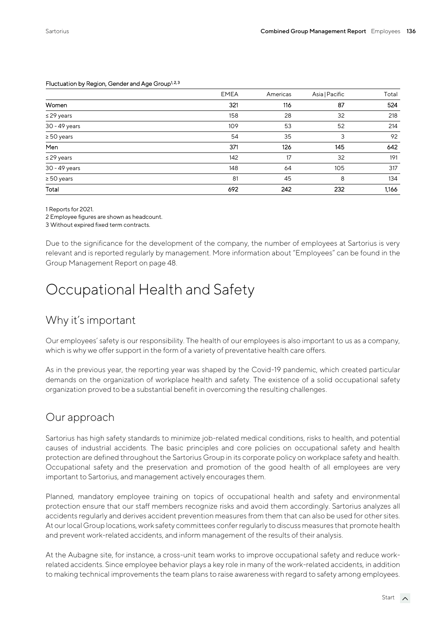|                 | <b>EMEA</b> | Americas | Asia   Pacific | Total |
|-----------------|-------------|----------|----------------|-------|
| Women           | 321         | 116      | 87             | 524   |
| $\leq$ 29 years | 158         | 28       | 32             | 218   |
| 30 - 49 years   | 109         | 53       | 52             | 214   |
| $\geq 50$ years | 54          | 35       | 3              | 92    |
| Men             | 371         | 126      | 145            | 642   |
| $\leq$ 29 years | 142         | 17       | 32             | 191   |
| 30 - 49 years   | 148         | 64       | 105            | 317   |
| $\geq 50$ years | 81          | 45       | 8              | 134   |
| Total           | 692         | 242      | 232            | 1.166 |

#### Fluctuation by Region, Gender and Age Group<sup>1, 2, 3</sup>

1 Reports for 2021.

2 Employee figures are shown as headcount.

3 Without expired fixed term contracts.

Due to the significance for the development of the company, the number of employees at Sartorius is very relevant and is reported regularly by management. More information about "Employees" can be found in the Group Management Report on page 48.

# Occupational Health and Safety

#### Why it's important

Our employees' safety is our responsibility. The health of our employees is also important to us as a company, which is why we offer support in the form of a variety of preventative health care offers.

As in the previous year, the reporting year was shaped by the Covid-19 pandemic, which created particular demands on the organization of workplace health and safety. The existence of a solid occupational safety organization proved to be a substantial benefit in overcoming the resulting challenges.

#### Our approach

Sartorius has high safety standards to minimize job-related medical conditions, risks to health, and potential causes of industrial accidents. The basic principles and core policies on occupational safety and health protection are defined throughout the Sartorius Group in its corporate policy on workplace safety and health. Occupational safety and the preservation and promotion of the good health of all employees are very important to Sartorius, and management actively encourages them.

Planned, mandatory employee training on topics of occupational health and safety and environmental protection ensure that our staff members recognize risks and avoid them accordingly. Sartorius analyzes all accidents regularly and derives accident prevention measures from them that can also be used for other sites. At our local Group locations, work safety committees confer regularly to discuss measures that promote health and prevent work-related accidents, and inform management of the results of their analysis.

At the Aubagne site, for instance, a cross-unit team works to improve occupational safety and reduce workrelated accidents. Since employee behavior plays a key role in many of the work-related accidents, in addition to making technical improvements the team plans to raise awareness with regard to safety among employees.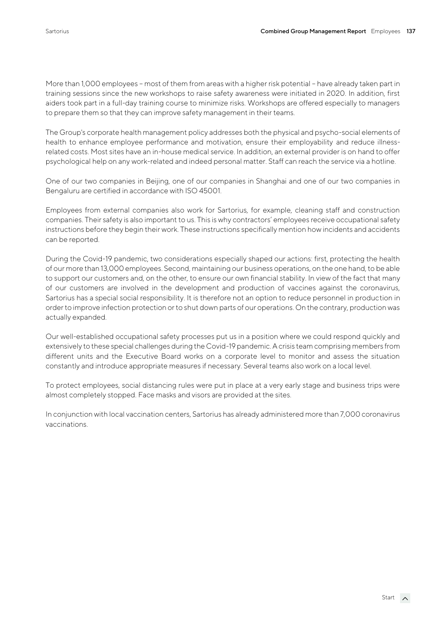More than 1,000 employees – most of them from areas with a higher risk potential – have already taken part in training sessions since the new workshops to raise safety awareness were initiated in 2020. In addition, first aiders took part in a full-day training course to minimize risks. Workshops are offered especially to managers to prepare them so that they can improve safety management in their teams.

The Group's corporate health management policy addresses both the physical and psycho-social elements of health to enhance employee performance and motivation, ensure their employability and reduce illnessrelated costs. Most sites have an in-house medical service. In addition, an external provider is on hand to offer psychological help on any work-related and indeed personal matter. Staff can reach the service via a hotline.

One of our two companies in Beijing, one of our companies in Shanghai and one of our two companies in Bengaluru are certified in accordance with ISO 45001.

Employees from external companies also work for Sartorius, for example, cleaning staff and construction companies. Their safety is also important to us. This is why contractors' employees receive occupational safety instructions before they begin their work. These instructions specifically mention how incidents and accidents can be reported.

During the Covid-19 pandemic, two considerations especially shaped our actions: first, protecting the health of our more than 13,000 employees. Second, maintaining our business operations, on the one hand, to be able to support our customers and, on the other, to ensure our own financial stability. In view of the fact that many of our customers are involved in the development and production of vaccines against the coronavirus, Sartorius has a special social responsibility. It is therefore not an option to reduce personnel in production in order to improve infection protection or to shut down parts of our operations. On the contrary, production was actually expanded.

Our well-established occupational safety processes put us in a position where we could respond quickly and extensively to these special challenges during the Covid-19 pandemic. A crisis team comprising members from different units and the Executive Board works on a corporate level to monitor and assess the situation constantly and introduce appropriate measures if necessary. Several teams also work on a local level.

To protect employees, social distancing rules were put in place at a very early stage and business trips were almost completely stopped. Face masks and visors are provided at the sites.

In conjunction with local vaccination centers, Sartorius has already administered more than 7,000 coronavirus vaccinations.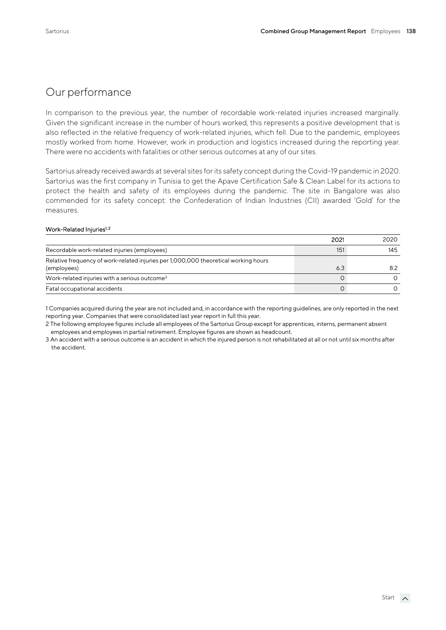#### Our performance

In comparison to the previous year, the number of recordable work-related injuries increased marginally. Given the significant increase in the number of hours worked, this represents a positive development that is also reflected in the relative frequency of work-related injuries, which fell. Due to the pandemic, employees mostly worked from home. However, work in production and logistics increased during the reporting year. There were no accidents with fatalities or other serious outcomes at any of our sites.

Sartorius already received awards at several sites for its safety concept during the Covid-19 pandemic in 2020. Sartorius was the first company in Tunisia to get the Apave Certification Safe & Clean Label for its actions to protect the health and safety of its employees during the pandemic. The site in Bangalore was also commended for its safety concept: the Confederation of Indian Industries (CII) awarded 'Gold' for the measures.

#### Work-Related Injuries<sup>1, 2</sup>

|                                                                                                    | 2021 | 2020 |
|----------------------------------------------------------------------------------------------------|------|------|
| Recordable work-related injuries (employees)                                                       | 151  | 145  |
| Relative frequency of work-related injuries per 1,000,000 theoretical working hours<br>(employees) | 6.3  | 8.2  |
| Work-related injuries with a serious outcome <sup>3</sup>                                          |      |      |
| Fatal occupational accidents                                                                       |      |      |

1 Companies acquired during the year are not included and, in accordance with the reporting guidelines, are only reported in the next reporting year. Companies that were consolidated last year report in full this year.

2 The following employee figures include all employees of the Sartorius Group except for apprentices, interns, permanent absent employees and employees in partial retirement. Employee figures are shown as headcount.

3 An accident with a serious outcome is an accident in which the injured person is not rehabilitated at all or not until six months after the accident.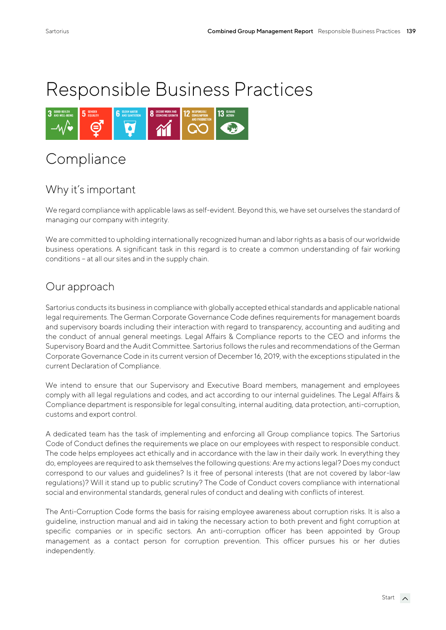# Responsible Business Practices



## **Compliance**

## Why it's important

We regard compliance with applicable laws as self-evident. Beyond this, we have set ourselves the standard of managing our company with integrity.

We are committed to upholding internationally recognized human and labor rights as a basis of our worldwide business operations. A significant task in this regard is to create a common understanding of fair working conditions – at all our sites and in the supply chain.

#### Our approach

Sartorius conducts its business in compliance with globally accepted ethical standards and applicable national legal requirements. The German Corporate Governance Code defines requirements for management boards and supervisory boards including their interaction with regard to transparency, accounting and auditing and the conduct of annual general meetings. Legal Affairs & Compliance reports to the CEO and informs the Supervisory Board and the Audit Committee. Sartorius follows the rules and recommendations of the German Corporate Governance Code in its current version of December 16, 2019, with the exceptions stipulated in the current Declaration of Compliance.

We intend to ensure that our Supervisory and Executive Board members, management and employees comply with all legal regulations and codes, and act according to our internal guidelines. The Legal Affairs & Compliance department is responsible for legal consulting, internal auditing, data protection, anti-corruption, customs and export control.

A dedicated team has the task of implementing and enforcing all Group compliance topics. The Sartorius Code of Conduct defines the requirements we place on our employees with respect to responsible conduct. The code helps employees act ethically and in accordance with the law in their daily work. In everything they do, employees are required to ask themselves the following questions: Are my actions legal? Does my conduct correspond to our values and guidelines? Is it free of personal interests (that are not covered by labor-law regulations)? Will it stand up to public scrutiny? The Code of Conduct covers compliance with international social and environmental standards, general rules of conduct and dealing with conflicts of interest.

The Anti-Corruption Code forms the basis for raising employee awareness about corruption risks. It is also a guideline, instruction manual and aid in taking the necessary action to both prevent and fight corruption at specific companies or in specific sectors. An anti-corruption officer has been appointed by Group management as a contact person for corruption prevention. This officer pursues his or her duties independently.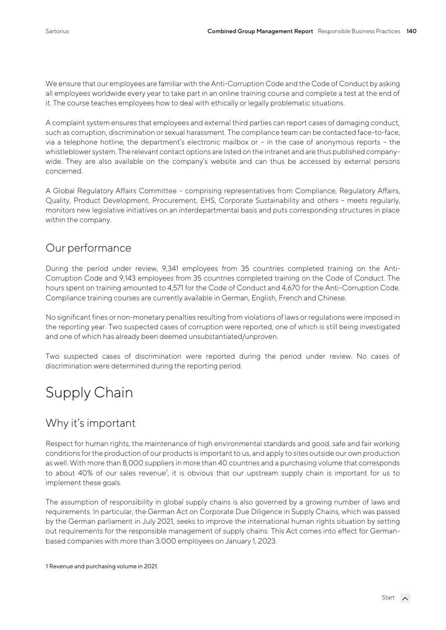We ensure that our employees are familiar with the Anti-Corruption Code and the Code of Conduct by asking all employees worldwide every year to take part in an online training course and complete a test at the end of it. The course teaches employees how to deal with ethically or legally problematic situations.

A complaint system ensures that employees and external third parties can report cases of damaging conduct, such as corruption, discrimination or sexual harassment. The compliance team can be contacted face-to-face, via a telephone hotline, the department's electronic mailbox or – in the case of anonymous reports – the whistleblower system. The relevant contact options are listed on the intranet and are thus published companywide. They are also available on the company's website and can thus be accessed by external persons concerned.

A Global Regulatory Affairs Committee – comprising representatives from Compliance, Regulatory Affairs, Quality, Product Development, Procurement, EHS, Corporate Sustainability and others – meets regularly, monitors new legislative initiatives on an interdepartmental basis and puts corresponding structures in place within the company.

#### Our performance

During the period under review, 9,341 employees from 35 countries completed training on the Anti-Corruption Code and 9,143 employees from 35 countries completed training on the Code of Conduct. The hours spent on training amounted to 4,571 for the Code of Conduct and 4,670 for the Anti-Corruption Code. Compliance training courses are currently available in German, English, French and Chinese.

No significant fines or non-monetary penalties resulting from violations of laws or regulations were imposed in the reporting year. Two suspected cases of corruption were reported, one of which is still being investigated and one of which has already been deemed unsubstantiated/unproven.

Two suspected cases of discrimination were reported during the period under review. No cases of discrimination were determined during the reporting period.

# Supply Chain

## Why it's important

Respect for human rights, the maintenance of high environmental standards and good, safe and fair working conditions for the production of our products is important to us, and apply to sites outside our own production as well. With more than 8,000 suppliers in more than 40 countries and a purchasing volume that corresponds to about 40% of our sales revenue<sup>1</sup>, it is obvious that our upstream supply chain is important for us to implement these goals.

The assumption of responsibility in global supply chains is also governed by a growing number of laws and requirements. In particular, the German Act on Corporate Due Diligence in Supply Chains, which was passed by the German parliament in July 2021, seeks to improve the international human rights situation by setting out requirements for the responsible management of supply chains. This Act comes into effect for Germanbased companies with more than 3,000 employees on January 1, 2023.

1 Revenue and purchasing volume in 2021.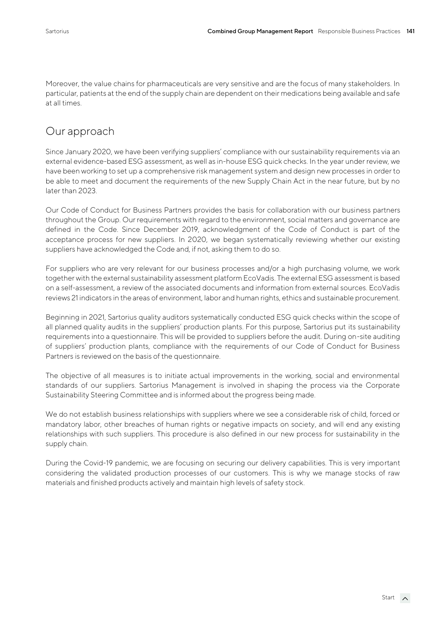Moreover, the value chains for pharmaceuticals are very sensitive and are the focus of many stakeholders. In particular, patients at the end of the supply chain are dependent on their medications being available and safe at all times.

## Our approach

Since January 2020, we have been verifying suppliers' compliance with our sustainability requirements via an external evidence-based ESG assessment, as well as in-house ESG quick checks. In the year under review, we have been working to set up a comprehensive risk management system and design new processes in order to be able to meet and document the requirements of the new Supply Chain Act in the near future, but by no later than 2023.

Our Code of Conduct for Business Partners provides the basis for collaboration with our business partners throughout the Group. Our requirements with regard to the environment, social matters and governance are defined in the Code. Since December 2019, acknowledgment of the Code of Conduct is part of the acceptance process for new suppliers. In 2020, we began systematically reviewing whether our existing suppliers have acknowledged the Code and, if not, asking them to do so.

For suppliers who are very relevant for our business processes and/or a high purchasing volume, we work together with the external sustainability assessment platform EcoVadis. The external ESG assessment is based on a self-assessment, a review of the associated documents and information from external sources. EcoVadis reviews 21 indicators in the areas of environment, labor and human rights, ethics and sustainable procurement.

Beginning in 2021, Sartorius quality auditors systematically conducted ESG quick checks within the scope of all planned quality audits in the suppliers' production plants. For this purpose, Sartorius put its sustainability requirements into a questionnaire. This will be provided to suppliers before the audit. During on-site auditing of suppliers' production plants, compliance with the requirements of our Code of Conduct for Business Partners is reviewed on the basis of the questionnaire.

The objective of all measures is to initiate actual improvements in the working, social and environmental standards of our suppliers. Sartorius Management is involved in shaping the process via the Corporate Sustainability Steering Committee and is informed about the progress being made.

We do not establish business relationships with suppliers where we see a considerable risk of child, forced or mandatory labor, other breaches of human rights or negative impacts on society, and will end any existing relationships with such suppliers. This procedure is also defined in our new process for sustainability in the supply chain.

During the Covid-19 pandemic, we are focusing on securing our delivery capabilities. This is very important considering the validated production processes of our customers. This is why we manage stocks of raw materials and finished products actively and maintain high levels of safety stock.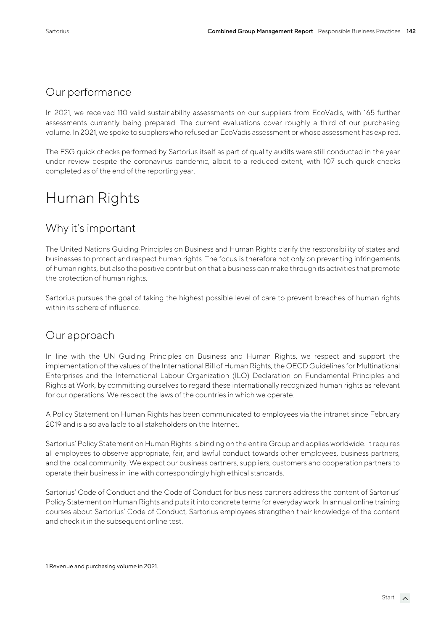#### Our performance

In 2021, we received 110 valid sustainability assessments on our suppliers from EcoVadis, with 165 further assessments currently being prepared. The current evaluations cover roughly a third of our purchasing volume. In 2021, we spoke to suppliers who refused an EcoVadis assessment or whose assessment has expired.

The ESG quick checks performed by Sartorius itself as part of quality audits were still conducted in the year under review despite the coronavirus pandemic, albeit to a reduced extent, with 107 such quick checks completed as of the end of the reporting year.

# Human Rights

#### Why it's important

The United Nations Guiding Principles on Business and Human Rights clarify the responsibility of states and businesses to protect and respect human rights. The focus is therefore not only on preventing infringements of human rights, but also the positive contribution that a business can make through its activities that promote the protection of human rights.

Sartorius pursues the goal of taking the highest possible level of care to prevent breaches of human rights within its sphere of influence.

#### Our approach

In line with the UN Guiding Principles on Business and Human Rights, we respect and support the implementation of the values of the International Bill of Human Rights, the OECD Guidelines for Multinational Enterprises and the International Labour Organization (ILO) Declaration on Fundamental Principles and Rights at Work, by committing ourselves to regard these internationally recognized human rights as relevant for our operations. We respect the laws of the countries in which we operate.

A Policy Statement on Human Rights has been communicated to employees via the intranet since February 2019 and is also available to all stakeholders on the Internet.

Sartorius' Policy Statement on Human Rights is binding on the entire Group and applies worldwide. It requires all employees to observe appropriate, fair, and lawful conduct towards other employees, business partners, and the local community. We expect our business partners, suppliers, customers and cooperation partners to operate their business in line with correspondingly high ethical standards.

Sartorius' Code of Conduct and the Code of Conduct for business partners address the content of Sartorius' Policy Statement on Human Rights and puts it into concrete terms for everyday work. In annual online training courses about Sartorius' Code of Conduct, Sartorius employees strengthen their knowledge of the content and check it in the subsequent online test.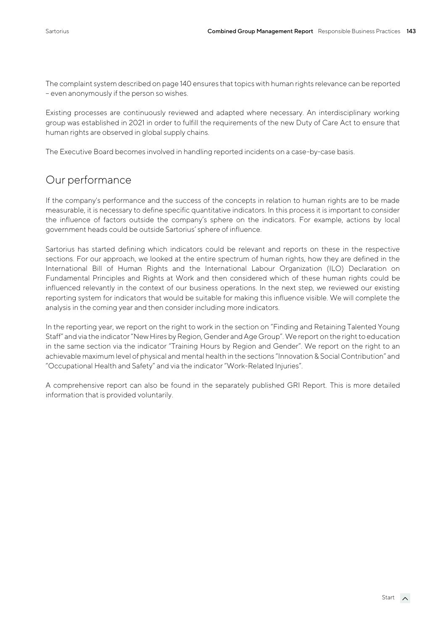The complaint system described on page 140 ensures that topics with human rights relevance can be reported – even anonymously if the person so wishes.

Existing processes are continuously reviewed and adapted where necessary. An interdisciplinary working group was established in 2021 in order to fulfill the requirements of the new Duty of Care Act to ensure that human rights are observed in global supply chains.

The Executive Board becomes involved in handling reported incidents on a case-by-case basis.

#### Our performance

If the company's performance and the success of the concepts in relation to human rights are to be made measurable, it is necessary to define specific quantitative indicators. In this process it is important to consider the influence of factors outside the company's sphere on the indicators. For example, actions by local government heads could be outside Sartorius' sphere of influence.

Sartorius has started defining which indicators could be relevant and reports on these in the respective sections. For our approach, we looked at the entire spectrum of human rights, how they are defined in the International Bill of Human Rights and the International Labour Organization (ILO) Declaration on Fundamental Principles and Rights at Work and then considered which of these human rights could be influenced relevantly in the context of our business operations. In the next step, we reviewed our existing reporting system for indicators that would be suitable for making this influence visible. We will complete the analysis in the coming year and then consider including more indicators.

In the reporting year, we report on the right to work in the section on "Finding and Retaining Talented Young Staff" and via the indicator "New Hires by Region, Gender and Age Group". We report on the right to education in the same section via the indicator "Training Hours by Region and Gender". We report on the right to an achievable maximum level of physical and mental health in the sections "Innovation & Social Contribution" and "Occupational Health and Safety" and via the indicator "Work-Related Injuries".

A comprehensive report can also be found in the separately published GRI Report. This is more detailed information that is provided voluntarily.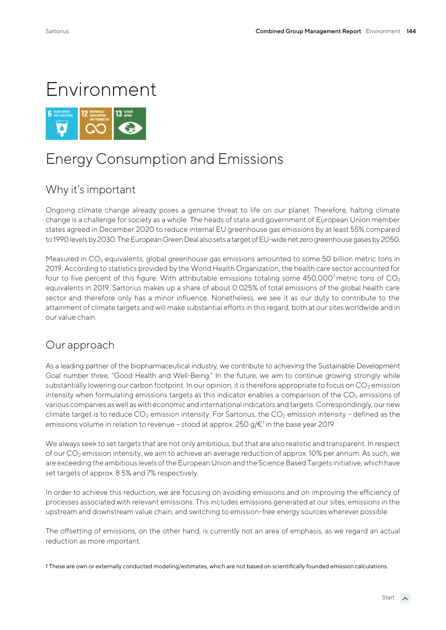# Environment



# Energy Consumption and Emissions

## Why it's important

Ongoing climate change already poses a genuine threat to life on our planet. Therefore, halting climate change is a challenge for society as a whole. The heads of state and government of European Union member states agreed in December 2020 to reduce internal EU greenhouse gas emissions by at least 55% compared to 1990 levels by 2030. The European Green Deal also sets a target of EU-wide net zero greenhouse gases by 2050.

Measured in CO<sub>2</sub> equivalents, global greenhouse gas emissions amounted to some 50 billion metric tons in 2019. According to statistics provided by the World Health Organization, the health care sector accounted for four to five percent of this figure. With attributable emissions totaling some  $450,000$ <sup>1</sup> metric tons of  $CO<sub>2</sub>$ equivalents in 2019, Sartorius makes up a share of about 0.025% of total emissions of the global health care sector and therefore only has a minor influence. Nonetheless, we see it as our duty to contribute to the attainment of climate targets and will make substantial efforts in this regard, both at our sites worldwide and in our value chain.

#### Our approach

As a leading partner of the biopharmaceutical industry, we contribute to achieving the Sustainable Development Goal number three, "Good Health and Well-Being." In the future, we aim to continue growing strongly while substantially lowering our carbon footprint. In our opinion, it is therefore appropriate to focus on  $CO<sub>2</sub>$  emission intensity when formulating emissions targets as this indicator enables a comparison of the  $CO<sub>2</sub>$  emissions of various companies as well as with economic and international indicators and targets. Correspondingly, our new climate target is to reduce  $CO_2$  emission intensity. For Sartorius, the  $CO_2$  emission intensity - defined as the emissions volume in relation to revenue – stood at approx. 250 g/ $\varepsilon$ <sup>1</sup> in the base year 2019.

We always seek to set targets that are not only ambitious, but that are also realistic and transparent. In respect of our CO<sup>2</sup> emission intensity, we aim to achieve an average reduction of approx. 10% per annum. As such, we are exceeding the ambitious levels of the European Union and the Science Based Targets initiative, which have set targets of approx. 8.5% and 7% respectively.

In order to achieve this reduction, we are focusing on avoiding emissions and on improving the efficiency of processes associated with relevant emissions. This includes emissions generated at our sites, emissions in the upstream and downstream value chain, and switching to emission-free energy sources wherever possible.

The offsetting of emissions, on the other hand, is currently not an area of emphasis, as we regard an actual reduction as more important.

1 These are own or externally conducted modeling/estimates, which are not based on scientifically founded emission calculations.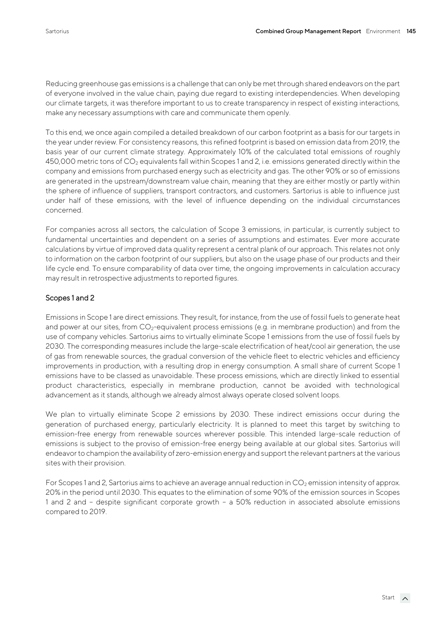Reducing greenhouse gas emissions is a challenge that can only be met through shared endeavors on the part of everyone involved in the value chain, paying due regard to existing interdependencies. When developing our climate targets, it was therefore important to us to create transparency in respect of existing interactions, make any necessary assumptions with care and communicate them openly.

To this end, we once again compiled a detailed breakdown of our carbon footprint as a basis for our targets in the year under review. For consistency reasons, this refined footprint is based on emission data from 2019, the basis year of our current climate strategy. Approximately 10% of the calculated total emissions of roughly 450,000 metric tons of  $CO<sub>2</sub>$  equivalents fall within Scopes 1 and 2, i.e. emissions generated directly within the company and emissions from purchased energy such as electricity and gas. The other 90% or so of emissions are generated in the upstream/downstream value chain, meaning that they are either mostly or partly within the sphere of influence of suppliers, transport contractors, and customers. Sartorius is able to influence just under half of these emissions, with the level of influence depending on the individual circumstances concerned.

For companies across all sectors, the calculation of Scope 3 emissions, in particular, is currently subject to fundamental uncertainties and dependent on a series of assumptions and estimates. Ever more accurate calculations by virtue of improved data quality represent a central plank of our approach. This relates not only to information on the carbon footprint of our suppliers, but also on the usage phase of our products and their life cycle end. To ensure comparability of data over time, the ongoing improvements in calculation accuracy may result in retrospective adjustments to reported figures.

#### Scopes 1 and 2

Emissions in Scope 1 are direct emissions. They result, for instance, from the use of fossil fuels to generate heat and power at our sites, from  $CO<sub>2</sub>$ -equivalent process emissions (e.g. in membrane production) and from the use of company vehicles. Sartorius aims to virtually eliminate Scope 1 emissions from the use of fossil fuels by 2030. The corresponding measures include the large-scale electrification of heat/cool air generation, the use of gas from renewable sources, the gradual conversion of the vehicle fleet to electric vehicles and efficiency improvements in production, with a resulting drop in energy consumption. A small share of current Scope 1 emissions have to be classed as unavoidable. These process emissions, which are directly linked to essential product characteristics, especially in membrane production, cannot be avoided with technological advancement as it stands, although we already almost always operate closed solvent loops.

We plan to virtually eliminate Scope 2 emissions by 2030. These indirect emissions occur during the generation of purchased energy, particularly electricity. It is planned to meet this target by switching to emission-free energy from renewable sources wherever possible. This intended large-scale reduction of emissions is subject to the proviso of emission-free energy being available at our global sites. Sartorius will endeavor to champion the availability of zero-emission energy and support the relevant partners at the various sites with their provision.

For Scopes 1 and 2, Sartorius aims to achieve an average annual reduction in  $CO<sub>2</sub>$  emission intensity of approx. 20% in the period until 2030. This equates to the elimination of some 90% of the emission sources in Scopes 1 and 2 and – despite significant corporate growth – a 50% reduction in associated absolute emissions compared to 2019.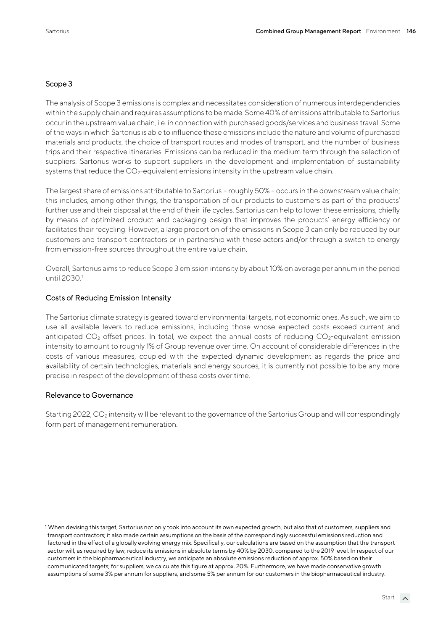#### Scope 3

The analysis of Scope 3 emissions is complex and necessitates consideration of numerous interdependencies within the supply chain and requires assumptions to be made. Some 40% of emissions attributable to Sartorius occur in the upstream value chain, i.e. in connection with purchased goods/services and business travel. Some of the ways in which Sartorius is able to influence these emissions include the nature and volume of purchased materials and products, the choice of transport routes and modes of transport, and the number of business trips and their respective itineraries. Emissions can be reduced in the medium term through the selection of suppliers. Sartorius works to support suppliers in the development and implementation of sustainability systems that reduce the CO<sub>2</sub>-equivalent emissions intensity in the upstream value chain.

The largest share of emissions attributable to Sartorius – roughly 50% – occurs in the downstream value chain; this includes, among other things, the transportation of our products to customers as part of the products' further use and their disposal at the end of their life cycles. Sartorius can help to lower these emissions, chiefly by means of optimized product and packaging design that improves the products' energy efficiency or facilitates their recycling. However, a large proportion of the emissions in Scope 3 can only be reduced by our customers and transport contractors or in partnership with these actors and/or through a switch to energy from emission-free sources throughout the entire value chain.

Overall, Sartorius aims to reduce Scope 3 emission intensity by about 10% on average per annum in the period until 2030.<sup>1</sup>

#### Costs of Reducing Emission Intensity

The Sartorius climate strategy is geared toward environmental targets, not economic ones. As such, we aim to use all available levers to reduce emissions, including those whose expected costs exceed current and anticipated  $CO<sub>2</sub>$  offset prices. In total, we expect the annual costs of reducing  $CO<sub>2</sub>$ -equivalent emission intensity to amount to roughly 1% of Group revenue over time. On account of considerable differences in the costs of various measures, coupled with the expected dynamic development as regards the price and availability of certain technologies, materials and energy sources, it is currently not possible to be any more precise in respect of the development of these costs over time.

#### Relevance to Governance

Starting 2022, CO<sub>2</sub> intensity will be relevant to the governance of the Sartorius Group and will correspondingly form part of management remuneration.

<sup>1</sup> When devising this target, Sartorius not only took into account its own expected growth, but also that of customers, suppliers and transport contractors; it also made certain assumptions on the basis of the correspondingly successful emissions reduction and factored in the effect of a globally evolving energy mix. Specifically, our calculations are based on the assumption that the transport sector will, as required by law, reduce its emissions in absolute terms by 40% by 2030, compared to the 2019 level. In respect of our customers in the biopharmaceutical industry, we anticipate an absolute emissions reduction of approx. 50% based on their communicated targets; for suppliers, we calculate this figure at approx. 20%. Furthermore, we have made conservative growth assumptions of some 3% per annum for suppliers, and some 5% per annum for our customers in the biopharmaceutical industry.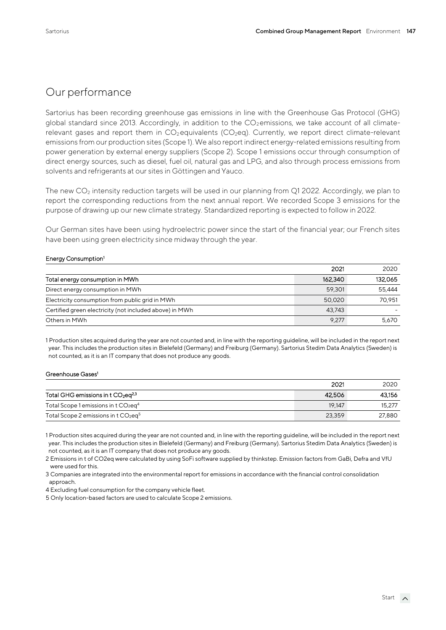#### Our performance

Sartorius has been recording greenhouse gas emissions in line with the Greenhouse Gas Protocol (GHG) global standard since 2013. Accordingly, in addition to the  $CO_2$  emissions, we take account of all climaterelevant gases and report them in  $CO<sub>2</sub>$ equivalents ( $CO<sub>2</sub>$ eq). Currently, we report direct climate-relevant emissions from our production sites (Scope 1). We also report indirect energy-related emissions resulting from power generation by external energy suppliers (Scope 2). Scope 1 emissions occur through consumption of direct energy sources, such as diesel, fuel oil, natural gas and LPG, and also through process emissions from solvents and refrigerants at our sites in Göttingen and Yauco.

The new  $CO<sub>2</sub>$  intensity reduction targets will be used in our planning from Q1 2022. Accordingly, we plan to report the corresponding reductions from the next annual report. We recorded Scope 3 emissions for the purpose of drawing up our new climate strategy. Standardized reporting is expected to follow in 2022.

Our German sites have been using hydroelectric power since the start of the financial year; our French sites have been using green electricity since midway through the year.

#### Energy Consumption<sup>1</sup>

|                                                         | 2021    | 2020    |
|---------------------------------------------------------|---------|---------|
| Total energy consumption in MWh                         | 162.340 | 132.065 |
| Direct energy consumption in MWh                        | 59,301  | 55.444  |
| Electricity consumption from public grid in MWh         | 50,020  | 70.951  |
| Certified green electricity (not included above) in MWh | 43.743  |         |
| Others in MWh                                           | 9.277   | 5.670   |

1 Production sites acquired during the year are not counted and, in line with the reporting guideline, will be included in the report next year. This includes the production sites in Bielefeld (Germany) and Freiburg (Germany). Sartorius Stedim Data Analytics (Sweden) is not counted, as it is an IT company that does not produce any goods.

#### Greenhouse Gases<sup>1</sup>

|                                                              | 2021   | 2020   |
|--------------------------------------------------------------|--------|--------|
| Total GHG emissions in t $CO2$ eq <sup>2,3</sup>             | 42,506 | 43.156 |
| Total Scope 1 emissions in t CO <sub>2</sub> eq <sup>4</sup> | 19.147 | 15.277 |
| Total Scope 2 emissions in t $CO2$ eg <sup>5</sup>           | 23.359 | 27,880 |

1 Production sites acquired during the year are not counted and, in line with the reporting guideline, will be included in the report next year. This includes the production sites in Bielefeld (Germany) and Freiburg (Germany). Sartorius Stedim Data Analytics (Sweden) is not counted, as it is an IT company that does not produce any goods.

2 Emissions in t of CO2eq were calculated by using SoFi software supplied by thinkstep. Emission factors from GaBi, Defra and VfU were used for this.

3 Companies are integrated into the environmental report for emissions in accordance with the financial control consolidation approach.

4 Excluding fuel consumption for the company vehicle fleet.

5 Only location-based factors are used to calculate Scope 2 emissions.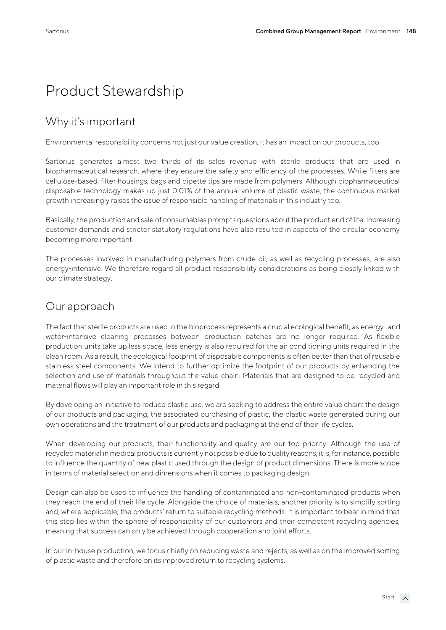# Product Stewardship

## Why it's important

Environmental responsibility concerns not just our value creation; it has an impact on our products, too.

Sartorius generates almost two thirds of its sales revenue with sterile products that are used in biopharmaceutical research, where they ensure the safety and efficiency of the processes. While filters are cellulose-based, filter housings, bags and pipette tips are made from polymers. Although biopharmaceutical disposable technology makes up just 0.01% of the annual volume of plastic waste, the continuous market growth increasingly raises the issue of responsible handling of materials in this industry too.

Basically, the production and sale of consumables prompts questions about the product end of life. Increasing customer demands and stricter statutory regulations have also resulted in aspects of the circular economy becoming more important.

The processes involved in manufacturing polymers from crude oil, as well as recycling processes, are also energy-intensive. We therefore regard all product responsibility considerations as being closely linked with our climate strategy.

#### Our approach

The fact that sterile products are used in the bioprocess represents a crucial ecological benefit, as energy- and water-intensive cleaning processes between production batches are no longer required. As flexible production units take up less space, less energy is also required for the air conditioning units required in the clean room. As a result, the ecological footprint of disposable components is often better than that of reusable stainless steel components. We intend to further optimize the footprint of our products by enhancing the selection and use of materials throughout the value chain. Materials that are designed to be recycled and material flows will play an important role in this regard.

By developing an initiative to reduce plastic use, we are seeking to address the entire value chain: the design of our products and packaging, the associated purchasing of plastic, the plastic waste generated during our own operations and the treatment of our products and packaging at the end of their life cycles.

When developing our products, their functionality and quality are our top priority. Although the use of recycled material in medical products is currently not possible due to quality reasons, it is, for instance, possible to influence the quantity of new plastic used through the design of product dimensions. There is more scope in terms of material selection and dimensions when it comes to packaging design.

Design can also be used to influence the handling of contaminated and non-contaminated products when they reach the end of their life cycle. Alongside the choice of materials, another priority is to simplify sorting and, where applicable, the products' return to suitable recycling methods. It is important to bear in mind that this step lies within the sphere of responsibility of our customers and their competent recycling agencies, meaning that success can only be achieved through cooperation and joint efforts.

In our in-house production, we focus chiefly on reducing waste and rejects, as well as on the improved sorting of plastic waste and therefore on its improved return to recycling systems.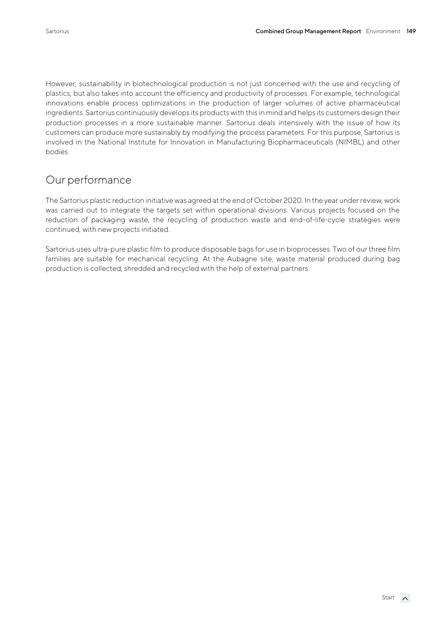However, sustainability in biotechnological production is not just concerned with the use and recycling of plastics, but also takes into account the efficiency and productivity of processes. For example, technological innovations enable process optimizations in the production of larger volumes of active pharmaceutical ingredients. Sartorius continuously develops its products with this in mind and helps its customers design their production processes in a more sustainable manner. Sartorius deals intensively with the issue of how its customers can produce more sustainably by modifying the process parameters. For this purpose, Sartorius is involved in the National Institute for Innovation in Manufacturing Biopharmaceuticals (NIMBL) and other bodies.

## Our performance

The Sartorius plastic reduction initiative was agreed at the end of October 2020. In the year under review, work was carried out to integrate the targets set within operational divisions. Various projects focused on the reduction of packaging waste, the recycling of production waste and end-of-life-cycle strategies were continued, with new projects initiated.

Sartorius uses ultra-pure plastic film to produce disposable bags for use in bioprocesses. Two of our three film families are suitable for mechanical recycling. At the Aubagne site, waste material produced during bag production is collected, shredded and recycled with the help of external partners.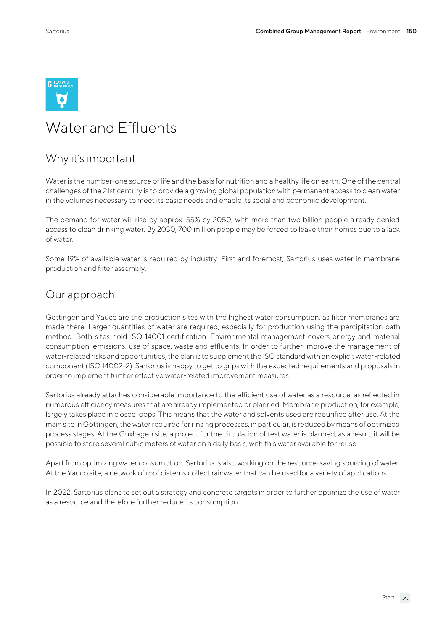

# Water and Effluents

#### Why it's important

Water is the number-one source of life and the basis for nutrition and a healthy life on earth. One of the central challenges of the 21st century is to provide a growing global population with permanent access to clean water in the volumes necessary to meet its basic needs and enable its social and economic development.

The demand for water will rise by approx. 55% by 2050, with more than two billion people already denied access to clean drinking water. By 2030, 700 million people may be forced to leave their homes due to a lack of water.

Some 19% of available water is required by industry. First and foremost, Sartorius uses water in membrane production and filter assembly.

#### Our approach

Göttingen and Yauco are the production sites with the highest water consumption, as filter membranes are made there. Larger quantities of water are required, especially for production using the percipitation bath method. Both sites hold ISO 14001 certification. Environmental management covers energy and material consumption, emissions, use of space, waste and effluents. In order to further improve the management of water-related risks and opportunities, the plan is to supplement the ISO standard with an explicit water-related component (ISO 14002-2). Sartorius is happy to get to grips with the expected requirements and proposals in order to implement further effective water-related improvement measures.

Sartorius already attaches considerable importance to the efficient use of water as a resource, as reflected in numerous efficiency measures that are already implemented or planned. Membrane production, for example, largely takes place in closed loops. This means that the water and solvents used are repurified after use. At the main site in Göttingen, the water required for rinsing processes, in particular, is reduced by means of optimized process stages. At the Guxhagen site, a project for the circulation of test water is planned; as a result, it will be possible to store several cubic meters of water on a daily basis, with this water available for reuse.

Apart from optimizing water consumption, Sartorius is also working on the resource-saving sourcing of water. At the Yauco site, a network of roof cisterns collect rainwater that can be used for a variety of applications.

In 2022, Sartorius plans to set out a strategy and concrete targets in order to further optimize the use of water as a resource and therefore further reduce its consumption.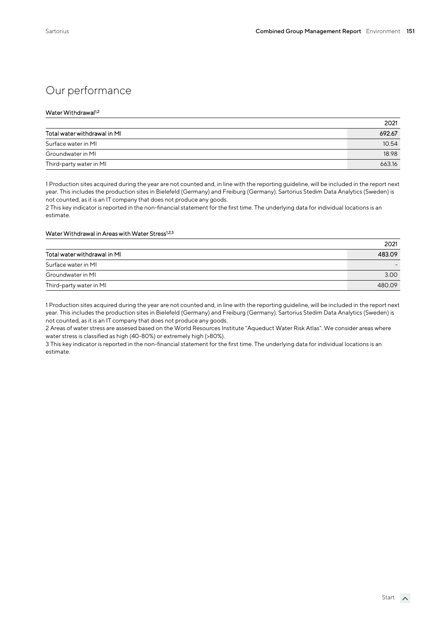## Our performance

#### Water Withdrawal1,2

|                              | 2021   |
|------------------------------|--------|
| Total water withdrawal in MI | 692.67 |
| Surface water in MI          | 10.54  |
| Groundwater in MI            | 18.98  |
| Third-party water in MI      | 663.16 |

1 Production sites acquired during the year are not counted and, in line with the reporting guideline, will be included in the report next year. This includes the production sites in Bielefeld (Germany) and Freiburg (Germany). Sartorius Stedim Data Analytics (Sweden) is not counted, as it is an IT company that does not produce any goods.

2 This key indicator is reported in the non-financial statement for the first time. The underlying data for individual locations is an estimate.

#### Water Withdrawal in Areas with Water Stress<sup>1,2,3</sup>

|                              | 2021   |
|------------------------------|--------|
| Total water withdrawal in MI | 483.09 |
| Surface water in MI          |        |
| Groundwater in MI            | 3.00   |
| Third-party water in MI      | 480.09 |

1 Production sites acquired during the year are not counted and, in line with the reporting guideline, will be included in the report next year. This includes the production sites in Bielefeld (Germany) and Freiburg (Germany). Sartorius Stedim Data Analytics (Sweden) is not counted, as it is an IT company that does not produce any goods.

2 Areas of water stress are assesed based on the World Resources Institute "Aqueduct Water Risk Atlas". We consider areas where water stress is classified as high (40-80%) or extremely high (>80%).

3 This key indicator is reported in the non-financial statement for the first time. The underlying data for individual locations is an estimate.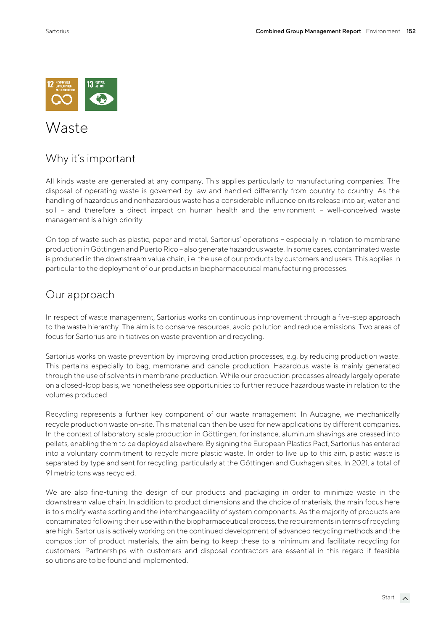

## Waste

#### Why it's important

All kinds waste are generated at any company. This applies particularly to manufacturing companies. The disposal of operating waste is governed by law and handled differently from country to country. As the handling of hazardous and nonhazardous waste has a considerable influence on its release into air, water and soil – and therefore a direct impact on human health and the environment – well-conceived waste management is a high priority.

On top of waste such as plastic, paper and metal, Sartorius' operations – especially in relation to membrane production in Göttingen and Puerto Rico – also generate hazardous waste. In some cases, contaminated waste is produced in the downstream value chain, i.e. the use of our products by customers and users. This applies in particular to the deployment of our products in biopharmaceutical manufacturing processes.

#### Our approach

In respect of waste management, Sartorius works on continuous improvement through a five-step approach to the waste hierarchy. The aim is to conserve resources, avoid pollution and reduce emissions. Two areas of focus for Sartorius are initiatives on waste prevention and recycling.

Sartorius works on waste prevention by improving production processes, e.g. by reducing production waste. This pertains especially to bag, membrane and candle production. Hazardous waste is mainly generated through the use of solvents in membrane production. While our production processes already largely operate on a closed-loop basis, we nonetheless see opportunities to further reduce hazardous waste in relation to the volumes produced.

Recycling represents a further key component of our waste management. In Aubagne, we mechanically recycle production waste on-site. This material can then be used for new applications by different companies. In the context of laboratory scale production in Göttingen, for instance, aluminum shavings are pressed into pellets, enabling them to be deployed elsewhere. By signing the European Plastics Pact, Sartorius has entered into a voluntary commitment to recycle more plastic waste. In order to live up to this aim, plastic waste is separated by type and sent for recycling, particularly at the Göttingen and Guxhagen sites. In 2021, a total of 91 metric tons was recycled.

We are also fine-tuning the design of our products and packaging in order to minimize waste in the downstream value chain. In addition to product dimensions and the choice of materials, the main focus here is to simplify waste sorting and the interchangeability of system components. As the majority of products are contaminated following their use within the biopharmaceutical process, the requirements in terms of recycling are high. Sartorius is actively working on the continued development of advanced recycling methods and the composition of product materials, the aim being to keep these to a minimum and facilitate recycling for customers. Partnerships with customers and disposal contractors are essential in this regard if feasible solutions are to be found and implemented.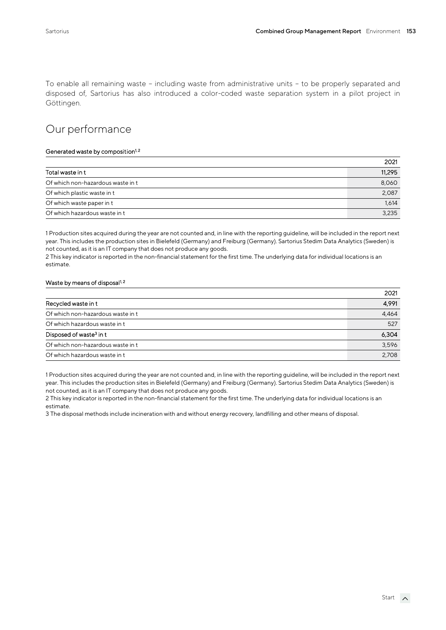To enable all remaining waste – including waste from administrative units – to be properly separated and disposed of, Sartorius has also introduced a color-coded waste separation system in a pilot project in Göttingen.

#### Our performance

#### Generated waste by composition<sup>1,2</sup>

|                                   | 2021   |
|-----------------------------------|--------|
| Total waste in t                  | 11,295 |
| Of which non-hazardous waste in t | 8,060  |
| Of which plastic waste in t       | 2,087  |
| Of which waste paper in t         | 1,614  |
| Of which hazardous waste in t     | 3.235  |

1 Production sites acquired during the year are not counted and, in line with the reporting guideline, will be included in the report next year. This includes the production sites in Bielefeld (Germany) and Freiburg (Germany). Sartorius Stedim Data Analytics (Sweden) is not counted, as it is an IT company that does not produce any goods.

2 This key indicator is reported in the non-financial statement for the first time. The underlying data for individual locations is an estimate.

#### Waste by means of disposal<sup>1,2</sup>

|                                     | 2021  |
|-------------------------------------|-------|
| Recycled waste in t                 | 4,991 |
| Of which non-hazardous waste in t   | 4.464 |
| Of which hazardous waste in t       | 527   |
| Disposed of waste <sup>3</sup> in t | 6,304 |
| Of which non-hazardous waste in t   | 3.596 |
| Of which hazardous waste in t       | 2.708 |

1 Production sites acquired during the year are not counted and, in line with the reporting guideline, will be included in the report next year. This includes the production sites in Bielefeld (Germany) and Freiburg (Germany). Sartorius Stedim Data Analytics (Sweden) is not counted, as it is an IT company that does not produce any goods.

2 This key indicator is reported in the non-financial statement for the first time. The underlying data for individual locations is an estimate.

3 The disposal methods include incineration with and without energy recovery, landfilling and other means of disposal.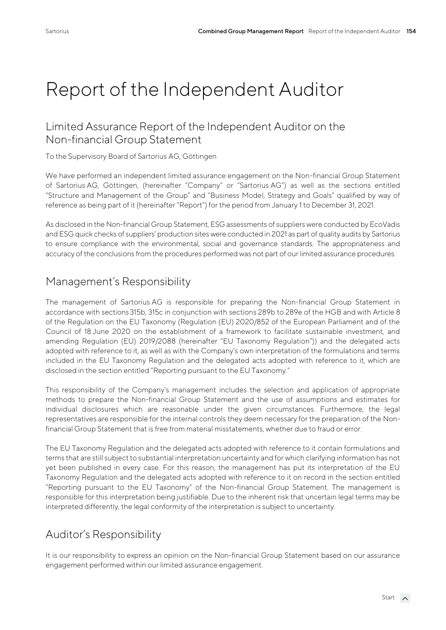# Report of the Independent Auditor

#### Limited Assurance Report of the Independent Auditor on the Non-financial Group Statement

To the Supervisory Board of Sartorius AG, Göttingen

We have performed an independent limited assurance engagement on the Non-financial Group Statement of Sartorius AG, Göttingen, (hereinafter "Company" or "Sartorius AG") as well as the sections entitled "Structure and Management of the Group" and "Business Model, Strategy and Goals" qualified by way of reference as being part of it (hereinafter "Report") for the period from January 1 to December 31, 2021.

As disclosed in the Non-financial Group Statement, ESG assessments of suppliers were conducted by EcoVadis and ESG quick checks of suppliers' production sites were conducted in 2021 as part of quality audits by Sartorius to ensure compliance with the environmental, social and governance standards. The appropriateness and accuracy of the conclusions from the procedures performed was not part of our limited assurance procedures.

#### Management's Responsibility

The management of Sartorius AG is responsible for preparing the Non-financial Group Statement in accordance with sections315b, 315c in conjunction with sections 289b to 289e of the HGB and with Article 8 of the Regulation on the EU Taxonomy (Regulation (EU) 2020/852 of the European Parliament and of the Council of 18 June 2020 on the establishment of a framework to facilitate sustainable investment, and amending Regulation (EU) 2019/2088 (hereinafter "EU Taxonomy Regulation")) and the delegated acts adopted with reference to it, as well as with the Company's own interpretation of the formulations and terms included in the EU Taxonomy Regulation and the delegated acts adopted with reference to it, which are disclosed in the section entitled "Reporting pursuant to the EU Taxonomy."

This responsibility of the Company's management includes the selection and application of appropriate methods to prepare the Non-financial Group Statement and the use of assumptions and estimates for individual disclosures which are reasonable under the given circumstances. Furthermore, the legal representatives are responsible for the internal controls they deem necessary for the preparation of the Nonfinancial Group Statement that is free from material misstatements, whether due to fraud or error.

The EU Taxonomy Regulation and the delegated acts adopted with reference to it contain formulations and terms that are still subject to substantial interpretation uncertainty and for which clarifying information has not yet been published in every case. For this reason, the management has put its interpretation of the EU Taxonomy Regulation and the delegated acts adopted with reference to it on record in the section entitled "Reporting pursuant to the EU Taxonomy" of the Non-financial Group Statement. The management is responsible for this interpretation being justifiable. Due to the inherent risk that uncertain legal terms may be interpreted differently, the legal conformity of the interpretation is subject to uncertainty.

## Auditor's Responsibility

It is our responsibility to express an opinion on the Non-financial Group Statement based on our assurance engagement performed within our limited assurance engagement.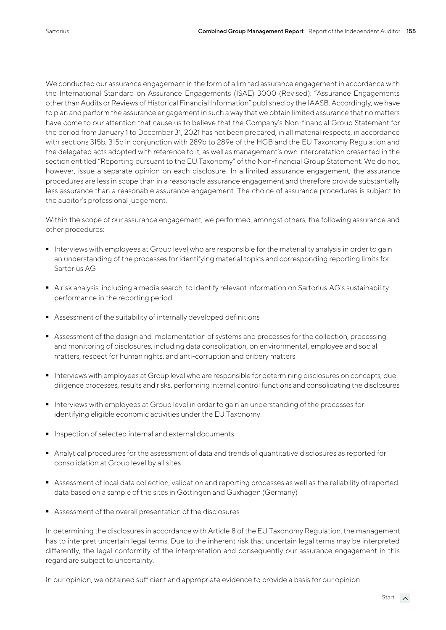We conducted our assurance engagement in the form of a limited assurance engagement in accordance with the International Standard on Assurance Engagements (ISAE) 3000 (Revised): "Assurance Engagements other than Audits or Reviews of Historical Financial Information" published by the IAASB. Accordingly, we have to plan and perform the assurance engagement in such a way that we obtain limited assurance that no matters have come to our attention that cause us to believe that the Company's Non-financial Group Statement for the period from January 1 to December 31, 2021 has not been prepared, in all material respects, in accordance with sections 315b, 315c in conjunction with 289b to 289e of the HGB and the EU Taxonomy Regulation and the delegated acts adopted with reference to it, as well as management's own interpretation presented in the section entitled "Reporting pursuant to the EU Taxonomy" of the Non-financial Group Statement. We do not, however, issue a separate opinion on each disclosure. In a limited assurance engagement, the assurance procedures are less in scope than in a reasonable assurance engagement and therefore provide substantially less assurance than a reasonable assurance engagement. The choice of assurance procedures is subject to the auditor's professional judgement.

Within the scope of our assurance engagement, we performed, amongst others, the following assurance and other procedures:

- Interviews with employees at Group level who are responsible for the materiality analysis in order to gain an understanding of the processes for identifying material topics and corresponding reporting limits for Sartorius AG
- A risk analysis, including a media search, to identify relevant information on Sartorius AG's sustainability performance in the reporting period
- Assessment of the suitability of internally developed definitions
- Assessment of the design and implementation of systems and processes for the collection, processing and monitoring of disclosures, including data consolidation, on environmental, employee and social matters, respect for human rights, and anti-corruption and bribery matters
- Interviews with employees at Group level who are responsible for determining disclosures on concepts, due diligence processes, results and risks, performing internal control functions and consolidating the disclosures
- Interviews with employees at Group level in order to gain an understanding of the processes for identifying eligible economic activities under the EU Taxonomy
- Inspection of selected internal and external documents
- Analytical procedures for the assessment of data and trends of quantitative disclosures as reported for consolidation at Group level by all sites
- Assessment of local data collection, validation and reporting processes as well as the reliability of reported data based on a sample of the sites in Göttingen and Guxhagen (Germany)
- Assessment of the overall presentation of the disclosures

In determining the disclosures in accordance with Article 8 of the EU Taxonomy Regulation, the management has to interpret uncertain legal terms. Due to the inherent risk that uncertain legal terms may be interpreted differently, the legal conformity of the interpretation and consequently our assurance engagement in this regard are subject to uncertainty.

In our opinion, we obtained sufficient and appropriate evidence to provide a basis for our opinion.